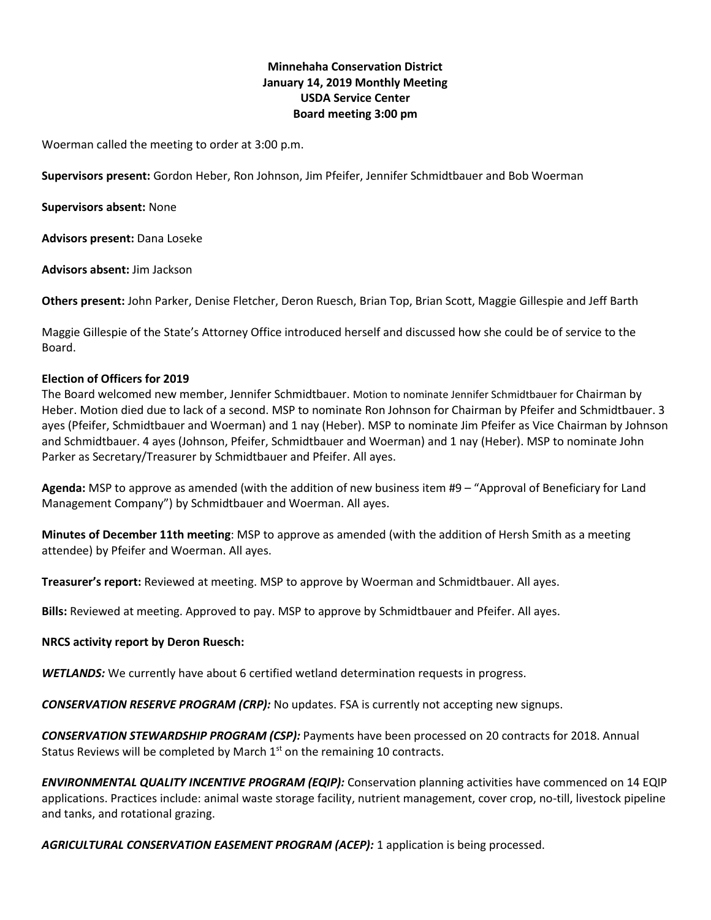# **Minnehaha Conservation District January 14, 2019 Monthly Meeting USDA Service Center Board meeting 3:00 pm**

Woerman called the meeting to order at 3:00 p.m.

**Supervisors present:** Gordon Heber, Ron Johnson, Jim Pfeifer, Jennifer Schmidtbauer and Bob Woerman

**Supervisors absent:** None

**Advisors present:** Dana Loseke

**Advisors absent:** Jim Jackson

**Others present:** John Parker, Denise Fletcher, Deron Ruesch, Brian Top, Brian Scott, Maggie Gillespie and Jeff Barth

Maggie Gillespie of the State's Attorney Office introduced herself and discussed how she could be of service to the Board.

#### **Election of Officers for 2019**

The Board welcomed new member, Jennifer Schmidtbauer. Motion to nominate Jennifer Schmidtbauer for Chairman by Heber. Motion died due to lack of a second. MSP to nominate Ron Johnson for Chairman by Pfeifer and Schmidtbauer. 3 ayes (Pfeifer, Schmidtbauer and Woerman) and 1 nay (Heber). MSP to nominate Jim Pfeifer as Vice Chairman by Johnson and Schmidtbauer. 4 ayes (Johnson, Pfeifer, Schmidtbauer and Woerman) and 1 nay (Heber). MSP to nominate John Parker as Secretary/Treasurer by Schmidtbauer and Pfeifer. All ayes.

**Agenda:** MSP to approve as amended (with the addition of new business item #9 – "Approval of Beneficiary for Land Management Company") by Schmidtbauer and Woerman. All ayes.

**Minutes of December 11th meeting**: MSP to approve as amended (with the addition of Hersh Smith as a meeting attendee) by Pfeifer and Woerman. All ayes.

**Treasurer's report:** Reviewed at meeting. MSP to approve by Woerman and Schmidtbauer. All ayes.

**Bills:** Reviewed at meeting. Approved to pay. MSP to approve by Schmidtbauer and Pfeifer. All ayes.

#### **NRCS activity report by Deron Ruesch:**

*WETLANDS:* We currently have about 6 certified wetland determination requests in progress.

*CONSERVATION RESERVE PROGRAM (CRP):* No updates. FSA is currently not accepting new signups.

*CONSERVATION STEWARDSHIP PROGRAM (CSP):* Payments have been processed on 20 contracts for 2018. Annual Status Reviews will be completed by March  $1<sup>st</sup>$  on the remaining 10 contracts.

*ENVIRONMENTAL QUALITY INCENTIVE PROGRAM (EQIP):* Conservation planning activities have commenced on 14 EQIP applications. Practices include: animal waste storage facility, nutrient management, cover crop, no-till, livestock pipeline and tanks, and rotational grazing.

*AGRICULTURAL CONSERVATION EASEMENT PROGRAM (ACEP):* 1 application is being processed.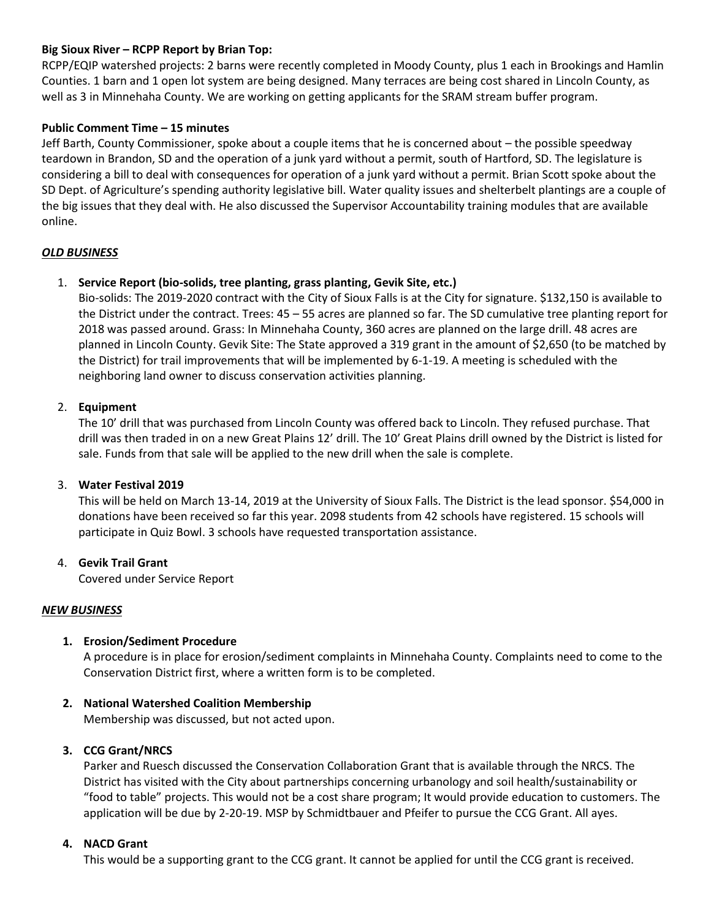### **Big Sioux River – RCPP Report by Brian Top:**

RCPP/EQIP watershed projects: 2 barns were recently completed in Moody County, plus 1 each in Brookings and Hamlin Counties. 1 barn and 1 open lot system are being designed. Many terraces are being cost shared in Lincoln County, as well as 3 in Minnehaha County. We are working on getting applicants for the SRAM stream buffer program.

### **Public Comment Time – 15 minutes**

Jeff Barth, County Commissioner, spoke about a couple items that he is concerned about – the possible speedway teardown in Brandon, SD and the operation of a junk yard without a permit, south of Hartford, SD. The legislature is considering a bill to deal with consequences for operation of a junk yard without a permit. Brian Scott spoke about the SD Dept. of Agriculture's spending authority legislative bill. Water quality issues and shelterbelt plantings are a couple of the big issues that they deal with. He also discussed the Supervisor Accountability training modules that are available online.

### *OLD BUSINESS*

### 1. **Service Report (bio-solids, tree planting, grass planting, Gevik Site, etc.)**

Bio-solids: The 2019-2020 contract with the City of Sioux Falls is at the City for signature. \$132,150 is available to the District under the contract. Trees: 45 – 55 acres are planned so far. The SD cumulative tree planting report for 2018 was passed around. Grass: In Minnehaha County, 360 acres are planned on the large drill. 48 acres are planned in Lincoln County. Gevik Site: The State approved a 319 grant in the amount of \$2,650 (to be matched by the District) for trail improvements that will be implemented by 6-1-19. A meeting is scheduled with the neighboring land owner to discuss conservation activities planning.

### 2. **Equipment**

The 10' drill that was purchased from Lincoln County was offered back to Lincoln. They refused purchase. That drill was then traded in on a new Great Plains 12' drill. The 10' Great Plains drill owned by the District is listed for sale. Funds from that sale will be applied to the new drill when the sale is complete.

### 3. **Water Festival 2019**

This will be held on March 13-14, 2019 at the University of Sioux Falls. The District is the lead sponsor. \$54,000 in donations have been received so far this year. 2098 students from 42 schools have registered. 15 schools will participate in Quiz Bowl. 3 schools have requested transportation assistance.

### 4. **Gevik Trail Grant**

Covered under Service Report

### *NEW BUSINESS*

# **1. Erosion/Sediment Procedure**

A procedure is in place for erosion/sediment complaints in Minnehaha County. Complaints need to come to the Conservation District first, where a written form is to be completed.

### **2. National Watershed Coalition Membership**

Membership was discussed, but not acted upon.

### **3. CCG Grant/NRCS**

Parker and Ruesch discussed the Conservation Collaboration Grant that is available through the NRCS. The District has visited with the City about partnerships concerning urbanology and soil health/sustainability or "food to table" projects. This would not be a cost share program; It would provide education to customers. The application will be due by 2-20-19. MSP by Schmidtbauer and Pfeifer to pursue the CCG Grant. All ayes.

### **4. NACD Grant**

This would be a supporting grant to the CCG grant. It cannot be applied for until the CCG grant is received.